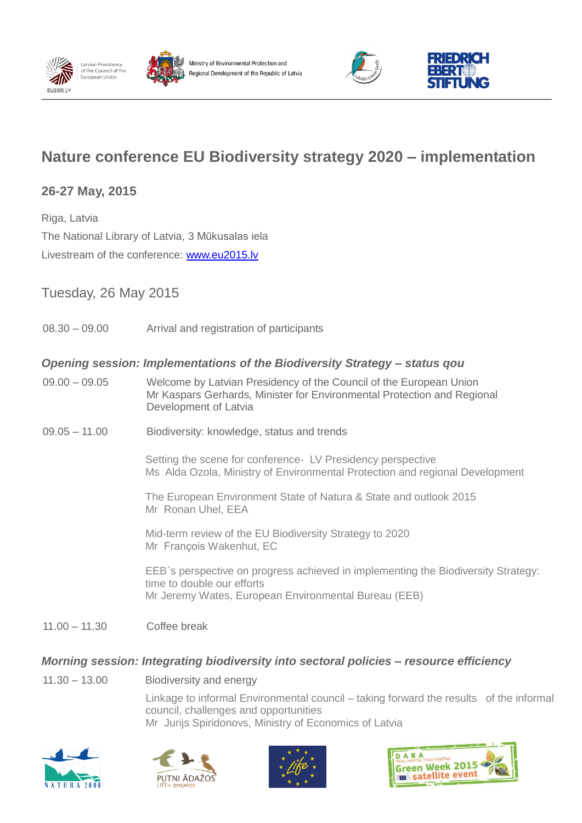







# **Nature conference EU Biodiversity strategy 2020 – implementation**

# **26-27 May, 2015**

Riga, Latvia The National Library of Latvia, 3 Mūkusalas iela Livestream of the conference: [www.eu2015.lv](http://www.eu2015.lv/)

# Tuesday, 26 May 2015

08.30 – 09.00 Arrival and registration of participants

## *Opening session: Implementations of the Biodiversity Strategy – status qou*

- 09.00 09.05 Welcome by Latvian Presidency of the Council of the European Union Mr Kaspars Gerhards, Minister for Environmental Protection and Regional Development of Latvia
- 09.05 11.00 Biodiversity: knowledge, status and trends

Setting the scene for conference- LV Presidency perspective Ms Alda Ozola, Ministry of Environmental Protection and regional Development

The European Environment State of Natura & State and outlook 2015 Mr Ronan Uhel, EEA

Mid-term review of the EU Biodiversity Strategy to 2020 Mr François Wakenhut, EC

EEB`s perspective on progress achieved in implementing the Biodiversity Strategy: time to double our efforts Mr Jeremy Wates, European Environmental Bureau (EEB)

11.00 – 11.30 Coffee break

## *Morning session: Integrating biodiversity into sectoral policies – resource efficiency*

11.30 – 13.00 Biodiversity and energy

Linkage to informal Environmental council – taking forward the results of the informal council, challenges and opportunities Mr Jurijs Spiridonovs, Ministry of Economics of Latvia







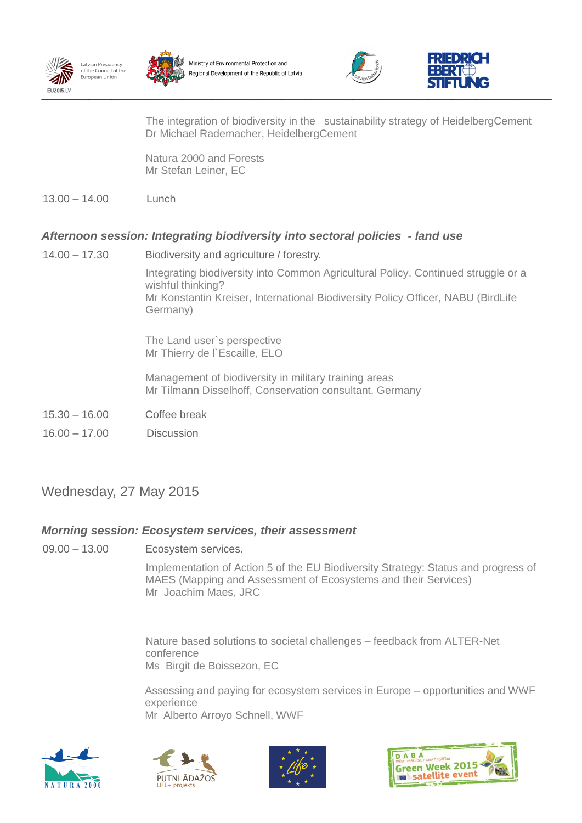









The integration of biodiversity in the sustainability strategy of HeidelbergCement Dr Michael Rademacher, HeidelbergCement

Natura 2000 and Forests Mr Stefan Leiner, EC

13.00 – 14.00 Lunch

## *Afternoon session: Integrating biodiversity into sectoral policies - land use*

- 14.00 17.30 Biodiversity and agriculture / forestry. Integrating biodiversity into Common Agricultural Policy. Continued struggle or a wishful thinking? Mr Konstantin Kreiser, International Biodiversity Policy Officer, NABU (BirdLife Germany) The Land user`s perspective Mr Thierry de l'Escaille, ELO Management of biodiversity in military training areas Mr Tilmann Disselhoff, Conservation consultant, Germany 15.30 – 16.00 Coffee break
- 16.00 17.00 Discussion

# Wednesday, 27 May 2015

## *Morning session: Ecosystem services, their assessment*

09.00 – 13.00 Ecosystem services.

Implementation of Action 5 of the EU Biodiversity Strategy: Status and progress of MAES (Mapping and Assessment of Ecosystems and their Services) Mr Joachim Maes, JRC

Nature based solutions to societal challenges – feedback from ALTER-Net conference Ms Birgit de Boissezon, EC

Assessing and paying for ecosystem services in Europe – opportunities and WWF experience Mr Alberto Arroyo Schnell, WWF